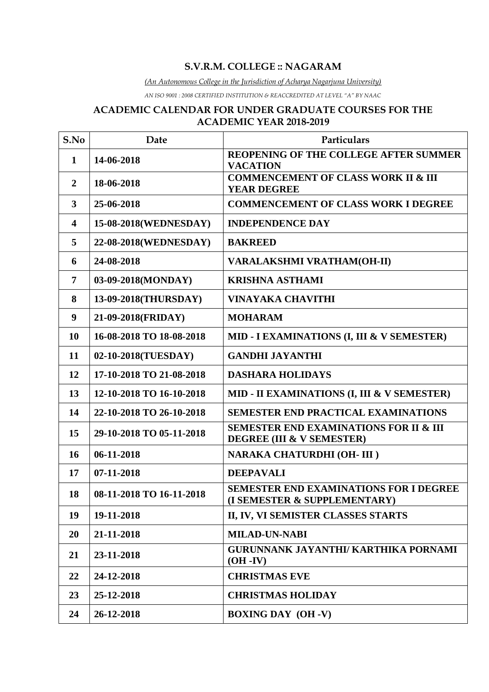## **S.V.R.M. COLLEGE :: NAGARAM**

*(An Autonomous College in the Jurisdiction of Acharya Nagarjuna University)*

*AN ISO 9001 : 2008 CERTIFIED INSTITUTION & REACCREDITED AT LEVEL "A" BY NAAC*

#### **ACADEMIC CALENDAR FOR UNDER GRADUATE COURSES FOR THE ACADEMIC YEAR 2018-2019**

| S.No                    | Date                     | Particulars                                                                    |  |
|-------------------------|--------------------------|--------------------------------------------------------------------------------|--|
| 1                       | 14-06-2018               | REOPENING OF THE COLLEGE AFTER SUMMER<br><b>VACATION</b>                       |  |
| $\overline{2}$          | 18-06-2018               | <b>COMMENCEMENT OF CLASS WORK II &amp; III</b><br><b>YEAR DEGREE</b>           |  |
| $\mathbf{3}$            | 25-06-2018               | <b>COMMENCEMENT OF CLASS WORK I DEGREE</b>                                     |  |
| $\overline{\mathbf{4}}$ | 15-08-2018(WEDNESDAY)    | <b>INDEPENDENCE DAY</b>                                                        |  |
| 5                       | 22-08-2018(WEDNESDAY)    | <b>BAKREED</b>                                                                 |  |
| 6                       | 24-08-2018               | <b>VARALAKSHMI VRATHAM(OH-II)</b>                                              |  |
| $\overline{7}$          | 03-09-2018(MONDAY)       | <b>KRISHNA ASTHAMI</b>                                                         |  |
| 8                       | 13-09-2018(THURSDAY)     | <b>VINAYAKA CHAVITHI</b>                                                       |  |
| 9                       | 21-09-2018(FRIDAY)       | <b>MOHARAM</b>                                                                 |  |
| 10                      | 16-08-2018 TO 18-08-2018 | MID - I EXAMINATIONS (I, III & V SEMESTER)                                     |  |
| 11                      | 02-10-2018(TUESDAY)      | <b>GANDHI JAYANTHI</b>                                                         |  |
| 12                      | 17-10-2018 TO 21-08-2018 | <b>DASHARA HOLIDAYS</b>                                                        |  |
| 13                      | 12-10-2018 TO 16-10-2018 | MID - II EXAMINATIONS (I, III & V SEMESTER)                                    |  |
| 14                      | 22-10-2018 TO 26-10-2018 | <b>SEMESTER END PRACTICAL EXAMINATIONS</b>                                     |  |
| 15                      | 29-10-2018 TO 05-11-2018 | <b>SEMESTER END EXAMINATIONS FOR II &amp; III</b><br>DEGREE (III & V SEMESTER) |  |
| 16                      | 06-11-2018               | NARAKA CHATURDHI (OH-III)                                                      |  |
| 17                      | 07-11-2018               | <b>DEEPAVALI</b>                                                               |  |
| 18                      | 08-11-2018 TO 16-11-2018 | SEMESTER END EXAMINATIONS FOR I DEGREE<br>(I SEMESTER & SUPPLEMENTARY)         |  |
| 19                      | 19-11-2018               | II, IV, VI SEMISTER CLASSES STARTS                                             |  |
| 20                      | 21-11-2018               | <b>MILAD-UN-NABI</b>                                                           |  |
| 21                      | 23-11-2018               | <b>GURUNNANK JAYANTHI/ KARTHIKA PORNAMI</b><br>$(OH - IV)$                     |  |
| 22                      | 24-12-2018               | <b>CHRISTMAS EVE</b>                                                           |  |
| 23                      | 25-12-2018               | <b>CHRISTMAS HOLIDAY</b>                                                       |  |
| 24                      | 26-12-2018               | <b>BOXING DAY (OH -V)</b>                                                      |  |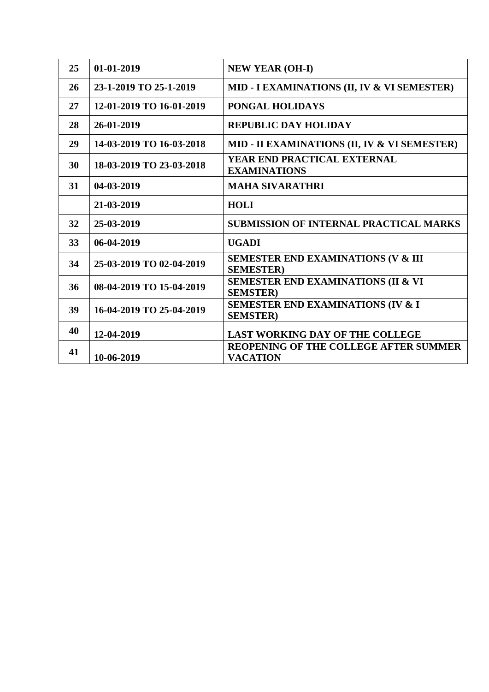| 25 | $01-01-2019$             | <b>NEW YEAR (OH-I)</b>                                             |  |
|----|--------------------------|--------------------------------------------------------------------|--|
| 26 | 23-1-2019 TO 25-1-2019   | MID - I EXAMINATIONS (II, IV & VI SEMESTER)                        |  |
| 27 | 12-01-2019 TO 16-01-2019 | PONGAL HOLIDAYS                                                    |  |
| 28 | 26-01-2019               | <b>REPUBLIC DAY HOLIDAY</b>                                        |  |
| 29 | 14-03-2019 TO 16-03-2018 | MID - II EXAMINATIONS (II, IV & VI SEMESTER)                       |  |
| 30 | 18-03-2019 TO 23-03-2018 | YEAR END PRACTICAL EXTERNAL<br><b>EXAMINATIONS</b>                 |  |
| 31 | 04-03-2019               | <b>MAHA SIVARATHRI</b>                                             |  |
|    | 21-03-2019               | <b>HOLI</b>                                                        |  |
| 32 | 25-03-2019               | <b>SUBMISSION OF INTERNAL PRACTICAL MARKS</b>                      |  |
| 33 | 06-04-2019               | <b>UGADI</b>                                                       |  |
| 34 | 25-03-2019 TO 02-04-2019 | <b>SEMESTER END EXAMINATIONS (V &amp; III</b><br><b>SEMESTER</b> ) |  |
| 36 | 08-04-2019 TO 15-04-2019 | <b>SEMESTER END EXAMINATIONS (II &amp; VI</b><br><b>SEMSTER</b> )  |  |
| 39 | 16-04-2019 TO 25-04-2019 | <b>SEMESTER END EXAMINATIONS (IV &amp; I)</b><br><b>SEMSTER</b> )  |  |
| 40 | 12-04-2019               | <b>LAST WORKING DAY OF THE COLLEGE</b>                             |  |
| 41 | 10-06-2019               | <b>REOPENING OF THE COLLEGE AFTER SUMMER</b><br><b>VACATION</b>    |  |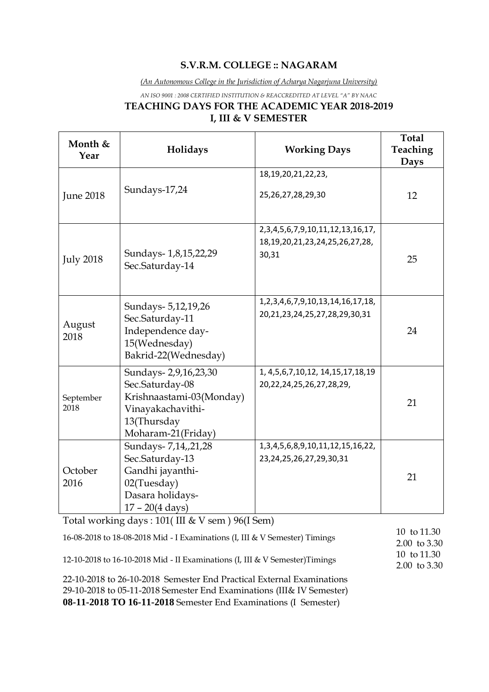## **S.V.R.M. COLLEGE :: NAGARAM**

*(An Autonomous College in the Jurisdiction of Acharya Nagarjuna University)*

*AN ISO 9001 : 2008 CERTIFIED INSTITUTION & REACCREDITED AT LEVEL "A" BY NAAC*

# **TEACHING DAYS FOR THE ACADEMIC YEAR 2018-2019 I, III & V SEMESTER**

| Month &<br>Year   | Holidays                                                                                                                                                                           | <b>Working Days</b>                                                                              | <b>Total</b><br>Teaching<br>Days |
|-------------------|------------------------------------------------------------------------------------------------------------------------------------------------------------------------------------|--------------------------------------------------------------------------------------------------|----------------------------------|
| <b>June 2018</b>  | Sundays-17,24                                                                                                                                                                      | 18, 19, 20, 21, 22, 23,<br>25, 26, 27, 28, 29, 30                                                | 12                               |
| <b>July 2018</b>  | Sundays- 1,8,15,22,29<br>Sec.Saturday-14                                                                                                                                           | 2, 3, 4, 5, 6, 7, 9, 10, 11, 12, 13, 16, 17,<br>18, 19, 20, 21, 23, 24, 25, 26, 27, 28,<br>30,31 | 25                               |
| August<br>2018    | Sundays- 5,12,19,26<br>Sec.Saturday-11<br>Independence day-<br>15(Wednesday)<br>Bakrid-22(Wednesday)                                                                               | 1, 2, 3, 4, 6, 7, 9, 10, 13, 14, 16, 17, 18,<br>20,21,23,24,25,27,28,29,30,31                    | 24                               |
| September<br>2018 | Sundays-2,9,16,23,30<br>Sec.Saturday-08<br>Krishnaastami-03(Monday)<br>Vinayakachavithi-<br>13(Thursday<br>Moharam-21(Friday)                                                      | 1, 4, 5, 6, 7, 10, 12, 14, 15, 17, 18, 19<br>20, 22, 24, 25, 26, 27, 28, 29,                     | 21                               |
| October<br>2016   | Sundays- 7,14,,21,28<br>Sec.Saturday-13<br>Gandhi jayanthi-<br>02(Tuesday)<br>Dasara holidays-<br>$17 - 20(4 \text{ days})$<br>Total working days: $101$ (III & V sem ) 96 (I Sem) | 1, 3, 4, 5, 6, 8, 9, 10, 11, 12, 15, 16, 22,<br>23, 24, 25, 26, 27, 29, 30, 31                   | 21                               |

| 16-08-2018 to 18-08-2018 Mid - I Examinations (I, III & V Semester) Timings | 10 to 11.30<br>2.00 to $3.30$ |
|-----------------------------------------------------------------------------|-------------------------------|
| 12-10-2018 to 16-10-2018 Mid - II Examinations (I, III & V Semester)Timings | 10 to 11.30<br>2.00 to $3.30$ |
| 22-10-2018 to 26-10-2018 Semester End Practical External Examinations       |                               |
| 29-10-2018 to 05-11-2018 Semester End Examinations (III& IV Semester)       |                               |

**08-11-2018 TO 16-11-2018** Semester End Examinations (I Semester)